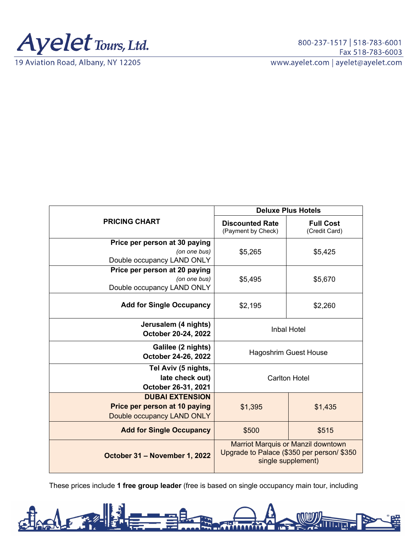

19 Aviation Road, Albany, NY 12205

| <b>PRICING CHART</b>                                                                  | <b>Deluxe Plus Hotels</b>                                                                                     |                                   |
|---------------------------------------------------------------------------------------|---------------------------------------------------------------------------------------------------------------|-----------------------------------|
|                                                                                       | <b>Discounted Rate</b><br>(Payment by Check)                                                                  | <b>Full Cost</b><br>(Credit Card) |
| Price per person at 30 paying                                                         |                                                                                                               |                                   |
| (on one bus)                                                                          | \$5,265                                                                                                       | \$5,425                           |
| Double occupancy LAND ONLY                                                            |                                                                                                               |                                   |
| Price per person at 20 paying                                                         |                                                                                                               |                                   |
| (on one bus)                                                                          | \$5,495                                                                                                       | \$5,670                           |
| Double occupancy LAND ONLY                                                            |                                                                                                               |                                   |
| <b>Add for Single Occupancy</b>                                                       | \$2,195                                                                                                       | \$2,260                           |
| Jerusalem (4 nights)<br>October 20-24, 2022                                           | <b>Inbal Hotel</b>                                                                                            |                                   |
| Galilee (2 nights)<br>October 24-26, 2022                                             | <b>Hagoshrim Guest House</b>                                                                                  |                                   |
| Tel Aviv (5 nights,<br>late check out)<br>October 26-31, 2021                         | <b>Carlton Hotel</b>                                                                                          |                                   |
| <b>DUBAI EXTENSION</b><br>Price per person at 10 paying<br>Double occupancy LAND ONLY | \$1,395                                                                                                       | \$1,435                           |
| <b>Add for Single Occupancy</b>                                                       | \$500                                                                                                         | \$515                             |
| October 31 - November 1, 2022                                                         | <b>Marriot Marquis or Manzil downtown</b><br>Upgrade to Palace (\$350 per person/ \$350<br>single supplement) |                                   |

These prices include **1 free group leader** (free is based on single occupancy main tour, including

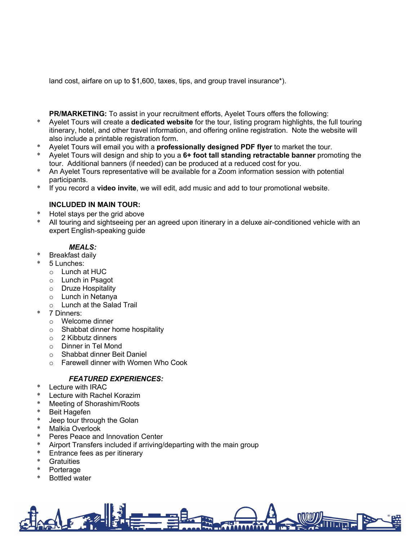land cost, airfare on up to \$1,600, taxes, tips, and group travel insurance\*).

**PR/MARKETING:** To assist in your recruitment efforts, Ayelet Tours offers the following:

- \* Ayelet Tours will create a **dedicated website** for the tour, listing program highlights, the full touring itinerary, hotel, and other travel information, and offering online registration. Note the website will also include a printable registration form.
- Ayelet Tours will email you with a **professionally designed PDF flyer** to market the tour.
- \* Ayelet Tours will design and ship to you a **6+ foot tall standing retractable banner** promoting the tour. Additional banners (if needed) can be produced at a reduced cost for you.
- An Ayelet Tours representative will be available for a Zoom information session with potential participants.
- \* If you record a **video invite**, we will edit, add music and add to tour promotional website.

# **INCLUDED IN MAIN TOUR:**

- Hotel stays per the grid above
- All touring and sightseeing per an agreed upon itinerary in a deluxe air-conditioned vehicle with an expert English-speaking guide

# *MEALS:*

- **Breakfast daily**
- 5 Lunches:
	- o Lunch at HUC
	- o Lunch in Psagot
	- o Druze Hospitality
	- o Lunch in Netanya
	- o Lunch at the Salad Trail
- 7 Dinners:
	- o Welcome dinner
	- o Shabbat dinner home hospitality
	- o 2 Kibbutz dinners
	- o Dinner in Tel Mond
	- o Shabbat dinner Beit Daniel
	- o Farewell dinner with Women Who Cook

# *FEATURED EXPERIENCES:*

- Lecture with IRAC
- Lecture with Rachel Korazim
- Meeting of Shorashim/Roots
- Beit Hagefen
- Jeep tour through the Golan
- Malkia Overlook
- Peres Peace and Innovation Center
- Airport Transfers included if arriving/departing with the main group
- Entrance fees as per itinerary
- \* Gratuities
- Porterage
- **Bottled water**

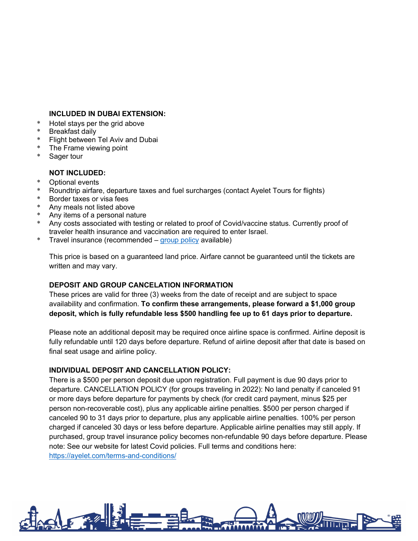#### **INCLUDED IN DUBAI EXTENSION:**

- \* Hotel stays per the grid above
- **Breakfast daily**
- Flight between Tel Aviv and Dubai
- The Frame viewing point
- Sager tour

### **NOT INCLUDED:**

- \* Optional events
- \* Roundtrip airfare, departure taxes and fuel surcharges (contact Ayelet Tours for flights)
- Border taxes or visa fees
- Any meals not listed above
- Any items of a personal nature
- Any costs associated with testing or related to proof of Covid/vaccine status. Currently proof of traveler health insurance and vaccination are required to enter Israel.
- \* Travel insurance (recommended [group policy](https://secure.ayelet.com/assets/documents/Travelex_360_Group_Choice_Flyer.pdf) available)

This price is based on a guaranteed land price. Airfare cannot be guaranteed until the tickets are written and may vary.

### **DEPOSIT AND GROUP CANCELATION INFORMATION**

These prices are valid for three (3) weeks from the date of receipt and are subject to space availability and confirmation. **To confirm these arrangements, please forward a \$1,000 group deposit, which is fully refundable less \$500 handling fee up to 61 days prior to departure.**

Please note an additional deposit may be required once airline space is confirmed. Airline deposit is fully refundable until 120 days before departure. Refund of airline deposit after that date is based on final seat usage and airline policy.

### **INDIVIDUAL DEPOSIT AND CANCELLATION POLICY:**

There is a \$500 per person deposit due upon registration. Full payment is due 90 days prior to departure. CANCELLATION POLICY (for groups traveling in 2022): No land penalty if canceled 91 or more days before departure for payments by check (for credit card payment, minus \$25 per person non-recoverable cost), plus any applicable airline penalties. \$500 per person charged if canceled 90 to 31 days prior to departure, plus any applicable airline penalties. 100% per person charged if canceled 30 days or less before departure. Applicable airline penalties may still apply. If purchased, group travel insurance policy becomes non-refundable 90 days before departure. Please note: See our website for latest Covid policies. Full terms and conditions here: <https://ayelet.com/terms-and-conditions/>